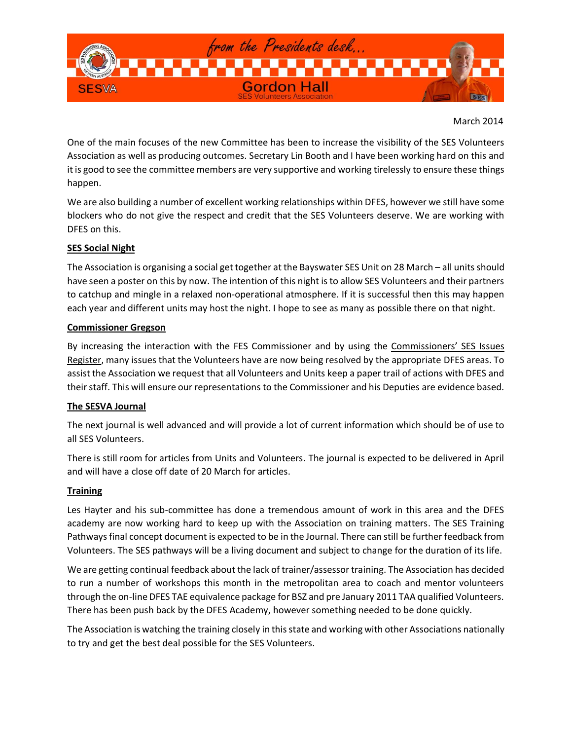

March 2014

One of the main focuses of the new Committee has been to increase the visibility of the SES Volunteers Association as well as producing outcomes. Secretary Lin Booth and I have been working hard on this and it is good to see the committee members are very supportive and working tirelessly to ensure these things happen.

We are also building a number of excellent working relationships within DFES, however we still have some blockers who do not give the respect and credit that the SES Volunteers deserve. We are working with DFES on this.

# **SES Social Night**

The Association is organising a social get together at the Bayswater SES Unit on 28 March – all units should have seen a poster on this by now. The intention of this night is to allow SES Volunteers and their partners to catchup and mingle in a relaxed non-operational atmosphere. If it is successful then this may happen each year and different units may host the night. I hope to see as many as possible there on that night.

### **Commissioner Gregson**

By increasing the interaction with the FES Commissioner and by using the Commissioners' SES Issues Register, many issues that the Volunteers have are now being resolved by the appropriate DFES areas. To assist the Association we request that all Volunteers and Units keep a paper trail of actions with DFES and their staff. This will ensure our representations to the Commissioner and his Deputies are evidence based.

# **The SESVA Journal**

The next journal is well advanced and will provide a lot of current information which should be of use to all SES Volunteers.

There is still room for articles from Units and Volunteers. The journal is expected to be delivered in April and will have a close off date of 20 March for articles.

# **Training**

Les Hayter and his sub-committee has done a tremendous amount of work in this area and the DFES academy are now working hard to keep up with the Association on training matters. The SES Training Pathways final concept document is expected to be in the Journal. There can still be further feedback from Volunteers. The SES pathways will be a living document and subject to change for the duration of its life.

We are getting continual feedback about the lack of trainer/assessor training. The Association has decided to run a number of workshops this month in the metropolitan area to coach and mentor volunteers through the on-line DFES TAE equivalence package for BSZ and pre January 2011 TAA qualified Volunteers. There has been push back by the DFES Academy, however something needed to be done quickly.

The Association is watching the training closely in this state and working with other Associations nationally to try and get the best deal possible for the SES Volunteers.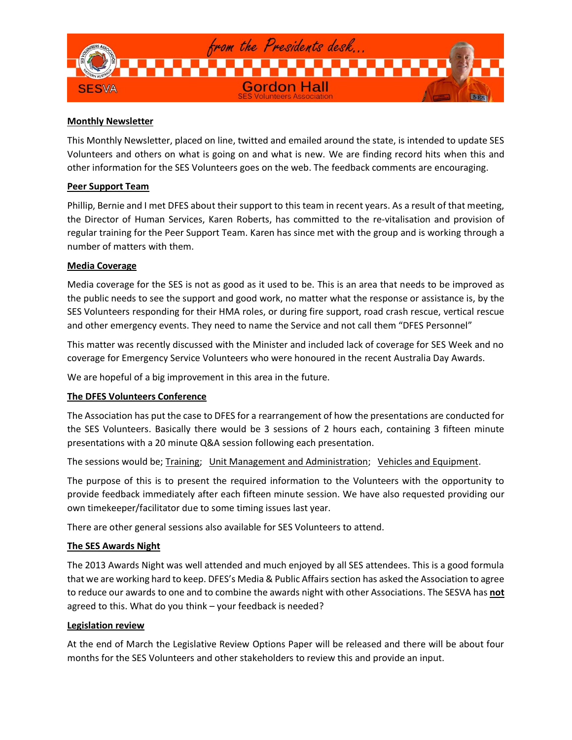

### **Monthly Newsletter**

This Monthly Newsletter, placed on line, twitted and emailed around the state, is intended to update SES Volunteers and others on what is going on and what is new. We are finding record hits when this and other information for the SES Volunteers goes on the web. The feedback comments are encouraging.

### **Peer Support Team**

Phillip, Bernie and I met DFES about their support to this team in recent years. As a result of that meeting, the Director of Human Services, Karen Roberts, has committed to the re-vitalisation and provision of regular training for the Peer Support Team. Karen has since met with the group and is working through a number of matters with them.

### **Media Coverage**

Media coverage for the SES is not as good as it used to be. This is an area that needs to be improved as the public needs to see the support and good work, no matter what the response or assistance is, by the SES Volunteers responding for their HMA roles, or during fire support, road crash rescue, vertical rescue and other emergency events. They need to name the Service and not call them "DFES Personnel"

This matter was recently discussed with the Minister and included lack of coverage for SES Week and no coverage for Emergency Service Volunteers who were honoured in the recent Australia Day Awards.

We are hopeful of a big improvement in this area in the future.

# **The DFES Volunteers Conference**

The Association has put the case to DFES for a rearrangement of how the presentations are conducted for the SES Volunteers. Basically there would be 3 sessions of 2 hours each, containing 3 fifteen minute presentations with a 20 minute Q&A session following each presentation.

The sessions would be; Training; Unit Management and Administration; Vehicles and Equipment.

The purpose of this is to present the required information to the Volunteers with the opportunity to provide feedback immediately after each fifteen minute session. We have also requested providing our own timekeeper/facilitator due to some timing issues last year.

There are other general sessions also available for SES Volunteers to attend.

# **The SES Awards Night**

The 2013 Awards Night was well attended and much enjoyed by all SES attendees. This is a good formula that we are working hard to keep. DFES's Media & Public Affairs section has asked the Association to agree to reduce our awards to one and to combine the awards night with other Associations. The SESVA has **not** agreed to this. What do you think – your feedback is needed?

### **Legislation review**

At the end of March the Legislative Review Options Paper will be released and there will be about four months for the SES Volunteers and other stakeholders to review this and provide an input.